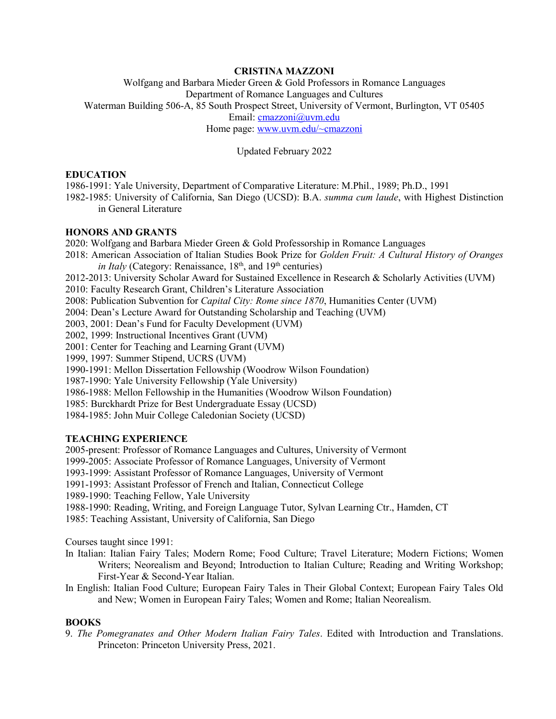# **CRISTINA MAZZONI**

Wolfgang and Barbara Mieder Green & Gold Professors in Romance Languages Department of Romance Languages and Cultures Waterman Building 506-A, 85 South Prospect Street, University of Vermont, Burlington, VT 05405 Email: [cmazzoni@uvm.edu](mailto:cmazzoni@uvm.edu) Home page: [www.uvm.edu/~cmazzoni](http://www.uvm.edu/%7Ecmazzoni)

Updated February 2022

## **EDUCATION**

1986-1991: Yale University, Department of Comparative Literature: M.Phil., 1989; Ph.D., 1991 1982-1985: University of California, San Diego (UCSD): B.A. *summa cum laude*, with Highest Distinction in General Literature

# **HONORS AND GRANTS**

2020: Wolfgang and Barbara Mieder Green & Gold Professorship in Romance Languages

2018: American Association of Italian Studies Book Prize for *Golden Fruit: A Cultural History of Oranges in Italy* (Category: Renaissance,  $18<sup>th</sup>$ , and  $19<sup>th</sup>$  centuries)

2012-2013: University Scholar Award for Sustained Excellence in Research & Scholarly Activities (UVM)

2010: Faculty Research Grant, Children's Literature Association

2008: Publication Subvention for *Capital City: Rome since 1870*, Humanities Center (UVM)

2004: Dean's Lecture Award for Outstanding Scholarship and Teaching (UVM)

2003, 2001: Dean's Fund for Faculty Development (UVM)

2002, 1999: Instructional Incentives Grant (UVM)

2001: Center for Teaching and Learning Grant (UVM)

1999, 1997: Summer Stipend, UCRS (UVM)

1990-1991: Mellon Dissertation Fellowship (Woodrow Wilson Foundation)

1987-1990: Yale University Fellowship (Yale University)

1986-1988: Mellon Fellowship in the Humanities (Woodrow Wilson Foundation)

1985: Burckhardt Prize for Best Undergraduate Essay (UCSD)

1984-1985: John Muir College Caledonian Society (UCSD)

# **TEACHING EXPERIENCE**

2005-present: Professor of Romance Languages and Cultures, University of Vermont

1999-2005: Associate Professor of Romance Languages, University of Vermont

1993-1999: Assistant Professor of Romance Languages, University of Vermont

1991-1993: Assistant Professor of French and Italian, Connecticut College

1989-1990: Teaching Fellow, Yale University

1988-1990: Reading, Writing, and Foreign Language Tutor, Sylvan Learning Ctr., Hamden, CT

1985: Teaching Assistant, University of California, San Diego

Courses taught since 1991:

- In Italian: Italian Fairy Tales; Modern Rome; Food Culture; Travel Literature; Modern Fictions; Women Writers; Neorealism and Beyond; Introduction to Italian Culture; Reading and Writing Workshop; First-Year & Second-Year Italian.
- In English: Italian Food Culture; European Fairy Tales in Their Global Context; European Fairy Tales Old and New; Women in European Fairy Tales; Women and Rome; Italian Neorealism.

# **BOOKS**

9. *The Pomegranates and Other Modern Italian Fairy Tales*. Edited with Introduction and Translations. Princeton: Princeton University Press, 2021.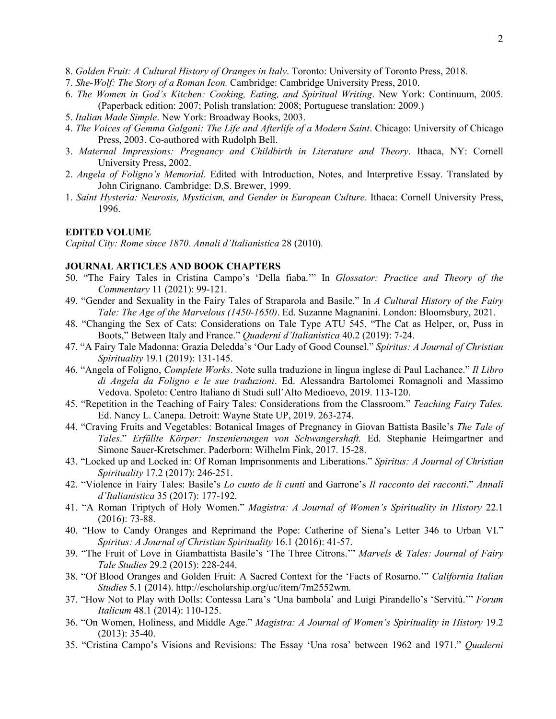- 8. *Golden Fruit: A Cultural History of Oranges in Italy*. Toronto: University of Toronto Press, 2018.
- 7. *She-Wolf: The Story of a Roman Icon.* Cambridge: Cambridge University Press, 2010.
- 6. *The Women in God's Kitchen: Cooking, Eating, and Spiritual Writing*. New York: Continuum, 2005. (Paperback edition: 2007; Polish translation: 2008; Portuguese translation: 2009.)
- 5. *Italian Made Simple*. New York: Broadway Books, 2003.
- 4. *The Voices of Gemma Galgani: The Life and Afterlife of a Modern Saint*. Chicago: University of Chicago Press, 2003. Co-authored with Rudolph Bell.
- 3. *Maternal Impressions: Pregnancy and Childbirth in Literature and Theory*. Ithaca, NY: Cornell University Press, 2002.
- 2. *Angela of Foligno's Memorial*. Edited with Introduction, Notes, and Interpretive Essay. Translated by John Cirignano. Cambridge: D.S. Brewer, 1999.
- 1. *Saint Hysteria: Neurosis, Mysticism, and Gender in European Culture*. Ithaca: Cornell University Press, 1996.

# **EDITED VOLUME**

*Capital City: Rome since 1870. Annali d'Italianistica* 28 (2010)*.*

# **JOURNAL ARTICLES AND BOOK CHAPTERS**

- 50. "The Fairy Tales in Cristina Campo's 'Della fiaba.'" In *Glossator: Practice and Theory of the Commentary* 11 (2021): 99-121.
- 49. "Gender and Sexuality in the Fairy Tales of Straparola and Basile." In *A Cultural History of the Fairy Tale: The Age of the Marvelous (1450-1650)*. Ed. Suzanne Magnanini. London: Bloomsbury, 2021.
- 48. "Changing the Sex of Cats: Considerations on Tale Type ATU 545, "The Cat as Helper, or, Puss in Boots," Between Italy and France." *Quaderni d'Italianistica* 40.2 (2019): 7-24.
- 47. "A Fairy Tale Madonna: Grazia Deledda's 'Our Lady of Good Counsel." *Spiritus: A Journal of Christian Spirituality* 19.1 (2019): 131-145.
- 46. "Angela of Foligno, *Complete Works*. Note sulla traduzione in lingua inglese di Paul Lachance." *Il Libro di Angela da Foligno e le sue traduzioni*. Ed. Alessandra Bartolomei Romagnoli and Massimo Vedova. Spoleto: Centro Italiano di Studi sull'Alto Medioevo, 2019. 113-120.
- 45. "Repetition in the Teaching of Fairy Tales: Considerations from the Classroom." *Teaching Fairy Tales.*  Ed. Nancy L. Canepa. Detroit: Wayne State UP, 2019. 263-274.
- 44. "Craving Fruits and Vegetables: Botanical Images of Pregnancy in Giovan Battista Basile's *The Tale of Tales*." *Erfüllte Körper: Inszenierungen von Schwangershaft.* Ed. Stephanie Heimgartner and Simone Sauer-Kretschmer. Paderborn: Wilhelm Fink, 2017. 15-28.
- 43. "Locked up and Locked in: Of Roman Imprisonments and Liberations." *Spiritus: A Journal of Christian Spirituality* 17.2 (2017): 246-251.
- 42. "Violence in Fairy Tales: Basile's *Lo cunto de li cunti* and Garrone's *Il racconto dei racconti*." *Annali d'Italianistica* 35 (2017): 177-192.
- 41. "A Roman Triptych of Holy Women." *Magistra: A Journal of Women's Spirituality in History* 22.1 (2016): 73-88.
- 40. "How to Candy Oranges and Reprimand the Pope: Catherine of Siena's Letter 346 to Urban VI." *Spiritus: A Journal of Christian Spirituality* 16.1 (2016): 41-57.
- 39. "The Fruit of Love in Giambattista Basile's 'The Three Citrons.'" *Marvels & Tales: Journal of Fairy Tale Studies* 29.2 (2015): 228-244.
- 38. "Of Blood Oranges and Golden Fruit: A Sacred Context for the 'Facts of Rosarno.'" *California Italian Studies* 5.1 (2014). http://escholarship.org/uc/item/7m2552wm.
- 37. "How Not to Play with Dolls: Contessa Lara's 'Una bambola' and Luigi Pirandello's 'Servitù.'" *Forum Italicum* 48.1 (2014): 110-125.
- 36. "On Women, Holiness, and Middle Age." *Magistra: A Journal of Women's Spirituality in History* 19.2 (2013): 35-40.
- 35. "Cristina Campo's Visions and Revisions: The Essay 'Una rosa' between 1962 and 1971." *Quaderni*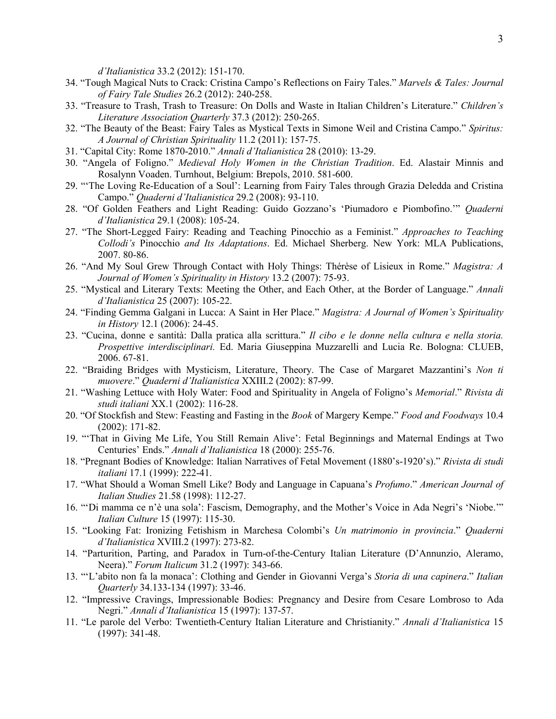*d'Italianistica* 33.2 (2012): 151-170.

- 34. "Tough Magical Nuts to Crack: Cristina Campo's Reflections on Fairy Tales." *Marvels & Tales: Journal of Fairy Tale Studies* 26.2 (2012): 240-258.
- 33. "Treasure to Trash, Trash to Treasure: On Dolls and Waste in Italian Children's Literature." *Children's Literature Association Quarterly* 37.3 (2012): 250-265.
- 32. "The Beauty of the Beast: Fairy Tales as Mystical Texts in Simone Weil and Cristina Campo." *Spiritus: A Journal of Christian Spirituality* 11.2 (2011): 157-75.
- 31. "Capital City: Rome 1870-2010." *Annali d'Italianistica* 28 (2010): 13-29.
- 30. "Angela of Foligno." *Medieval Holy Women in the Christian Tradition*. Ed. Alastair Minnis and Rosalynn Voaden. Turnhout, Belgium: Brepols, 2010. 581-600.
- 29. "'The Loving Re-Education of a Soul': Learning from Fairy Tales through Grazia Deledda and Cristina Campo." *Quaderni d'Italianistica* 29.2 (2008): 93-110.
- 28. "Of Golden Feathers and Light Reading: Guido Gozzano's 'Piumadoro e Piombofino.'" *Quaderni d'Italianistica* 29.1 (2008): 105-24.
- 27. "The Short-Legged Fairy: Reading and Teaching Pinocchio as a Feminist." *Approaches to Teaching Collodi's* Pinocchio *and Its Adaptations*. Ed. Michael Sherberg. New York: MLA Publications, 2007. 80-86.
- 26. "And My Soul Grew Through Contact with Holy Things: Thérèse of Lisieux in Rome." *Magistra: A Journal of Women's Spirituality in History* 13.2 (2007): 75-93.
- 25. "Mystical and Literary Texts: Meeting the Other, and Each Other, at the Border of Language." *Annali d'Italianistica* 25 (2007): 105-22.
- 24. "Finding Gemma Galgani in Lucca: A Saint in Her Place." *Magistra: A Journal of Women's Spirituality in History* 12.1 (2006): 24-45.
- 23. "Cucina, donne e santità: Dalla pratica alla scrittura." *Il cibo e le donne nella cultura e nella storia. Prospettive interdisciplinari.* Ed. Maria Giuseppina Muzzarelli and Lucia Re. Bologna: CLUEB, 2006. 67-81.
- 22. "Braiding Bridges with Mysticism, Literature, Theory. The Case of Margaret Mazzantini's *Non ti muovere*." *Quaderni d'Italianistica* XXIII.2 (2002): 87-99.
- 21. "Washing Lettuce with Holy Water: Food and Spirituality in Angela of Foligno's *Memorial*." *Rivista di studi italiani* XX.1 (2002): 116-28.
- 20. "Of Stockfish and Stew: Feasting and Fasting in the *Book* of Margery Kempe." *Food and Foodways* 10.4 (2002): 171-82.
- 19. "'That in Giving Me Life, You Still Remain Alive': Fetal Beginnings and Maternal Endings at Two Centuries' Ends." *Annali d'Italianistica* 18 (2000): 255-76.
- 18. "Pregnant Bodies of Knowledge: Italian Narratives of Fetal Movement (1880's-1920's)." *Rivista di studi italiani* 17.1 (1999): 222-41.
- 17. "What Should a Woman Smell Like? Body and Language in Capuana's *Profumo*." *American Journal of Italian Studies* 21.58 (1998): 112-27.
- 16. "'Di mamma ce n'è una sola': Fascism, Demography, and the Mother's Voice in Ada Negri's 'Niobe.'" *Italian Culture* 15 (1997): 115-30.
- 15. "Looking Fat: Ironizing Fetishism in Marchesa Colombi's *Un matrimonio in provincia*." *Quaderni d'Italianistica* XVIII.2 (1997): 273-82.
- 14. "Parturition, Parting, and Paradox in Turn-of-the-Century Italian Literature (D'Annunzio, Aleramo, Neera)." *Forum Italicum* 31.2 (1997): 343-66.
- 13. "'L'abito non fa la monaca': Clothing and Gender in Giovanni Verga's *Storia di una capinera*." *Italian Quarterly* 34.133-134 (1997): 33-46.
- 12. "Impressive Cravings, Impressionable Bodies: Pregnancy and Desire from Cesare Lombroso to Ada Negri." *Annali d'Italianistica* 15 (1997): 137-57.
- 11. "Le parole del Verbo: Twentieth-Century Italian Literature and Christianity." *Annali d'Italianistica* 15 (1997): 341-48.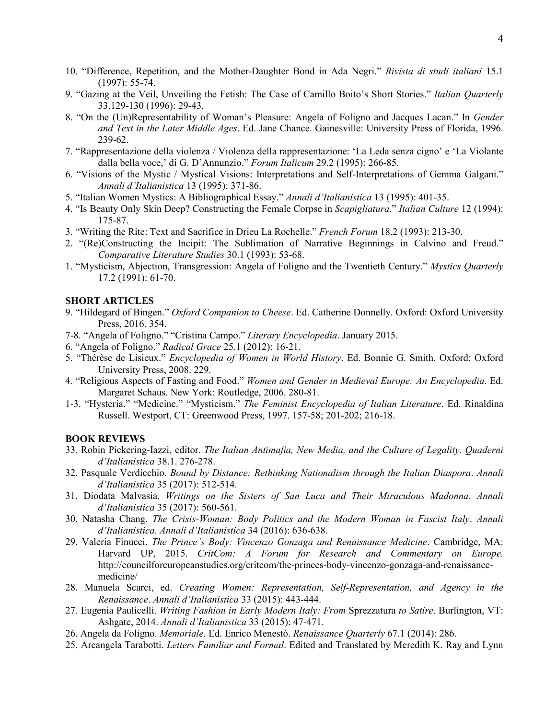- 10. "Difference, Repetition, and the Mother-Daughter Bond in Ada Negri." *Rivista di studi italiani* 15.1 (1997): 55-74.
- 9. "Gazing at the Veil, Unveiling the Fetish: The Case of Camillo Boito's Short Stories." *Italian Quarterly* 33.129-130 (1996): 29-43.
- 8. "On the (Un)Representability of Woman's Pleasure: Angela of Foligno and Jacques Lacan." In *Gender and Text in the Later Middle Ages*. Ed. Jane Chance. Gainesville: University Press of Florida, 1996. 239-62.
- 7. "Rappresentazione della violenza / Violenza della rappresentazione: 'La Leda senza cigno' e 'La Violante dalla bella voce,' di G. D'Annunzio." *Forum Italicum* 29.2 (1995): 266-85.
- 6. "Visions of the Mystic / Mystical Visions: Interpretations and Self-Interpretations of Gemma Galgani." *Annali d'Italianistica* 13 (1995): 371-86.
- 5. "Italian Women Mystics: A Bibliographical Essay." *Annali d'Italianistica* 13 (1995): 401-35.
- 4. "Is Beauty Only Skin Deep? Constructing the Female Corpse in *Scapigliatura*." *Italian Culture* 12 (1994): 175-87.
- 3. "Writing the Rite: Text and Sacrifice in Drieu La Rochelle." *French Forum* 18.2 (1993): 213-30.
- 2. "(Re)Constructing the Incipit: The Sublimation of Narrative Beginnings in Calvino and Freud." *Comparative Literature Studies* 30.1 (1993): 53-68.
- 1. "Mysticism, Abjection, Transgression: Angela of Foligno and the Twentieth Century." *Mystics Quarterly* 17.2 (1991): 61-70.

# **SHORT ARTICLES**

- 9. "Hildegard of Bingen." *Oxford Companion to Cheese*. Ed. Catherine Donnelly. Oxford: Oxford University Press, 2016. 354.
- 7-8. "Angela of Foligno." "Cristina Campo." *Literary Encyclopedia*. January 2015.
- 6. "Angela of Foligno." *Radical Grace* 25.1 (2012): 16-21.
- 5. "Thérèse de Lisieux." *Encyclopedia of Women in World History*. Ed. Bonnie G. Smith. Oxford: Oxford University Press, 2008. 229.
- 4. "Religious Aspects of Fasting and Food." *Women and Gender in Medieval Europe: An Encyclopedia*. Ed. Margaret Schaus. New York: Routledge, 2006. 280-81.
- 1-3. "Hysteria." "Medicine." "Mysticism." *The Feminist Encyclopedia of Italian Literature*. Ed. Rinaldina Russell. Westport, CT: Greenwood Press, 1997. 157-58; 201-202; 216-18.

#### **BOOK REVIEWS**

- 33. Robin Pickering-Iazzi, editor. *The Italian Antimafia, New Media, and the Culture of Legality. Quaderni d'Italianistica* 38.1. 276-278.
- 32. Pasquale Verdicchio. *Bound by Distance: Rethinking Nationalism through the Italian Diaspora*. *Annali d'Italianistica* 35 (2017): 512-514.
- 31. Diodata Malvasia. *Writings on the Sisters of San Luca and Their Miraculous Madonna*. *Annali d'Italianistica* 35 (2017): 560-561.
- 30. Natasha Chang. *The Crisis-Woman: Body Politics and the Modern Woman in Fascist Italy*. *Annali d'Italianistica*. *Annali d'Italianistica* 34 (2016): 636-638.
- 29. Valeria Finucci. *The Prince's Body: Vincenzo Gonzaga and Renaissance Medicine*. Cambridge, MA: Harvard UP, 2015. *CritCom: A Forum for Research and Commentary on Europe.* http://councilforeuropeanstudies.org/critcom/the-princes-body-vincenzo-gonzaga-and-renaissancemedicine/
- 28. Manuela Scarci, ed. *Creating Women: Representation, Self-Representation, and Agency in the Renaissance*. *Annali d'Italianistica* 33 (2015): 443-444.
- 27. Eugenia Paulicelli. *Writing Fashion in Early Modern Italy: From* Sprezzatura *to Satire*. Burlington, VT: Ashgate, 2014. *Annali d'Italianistica* 33 (2015): 47-471.
- 26. Angela da Foligno. *Memoriale*. Ed. Enrico Menestò. *Renaissance Quarterly* 67.1 (2014): 286.
- 25. Arcangela Tarabotti. *Letters Familiar and Formal*. Edited and Translated by Meredith K. Ray and Lynn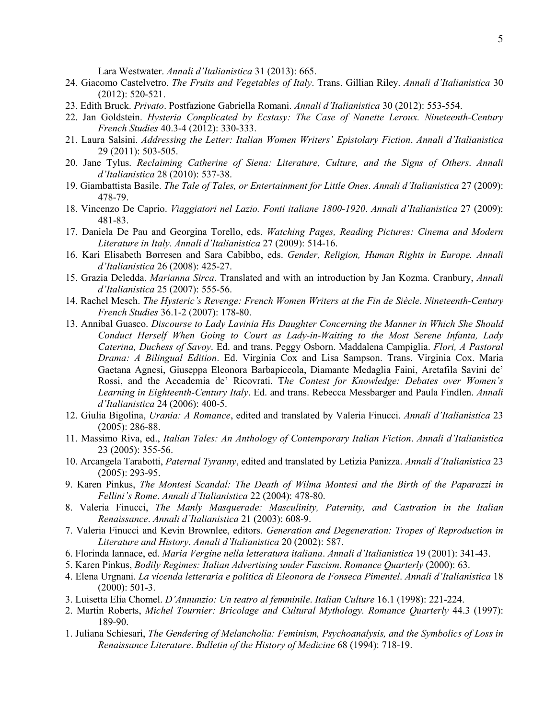Lara Westwater. *Annali d'Italianistica* 31 (2013): 665.

- 24. Giacomo Castelvetro. *The Fruits and Vegetables of Italy*. Trans. Gillian Riley. *Annali d'Italianistica* 30 (2012): 520-521.
- 23. Edith Bruck. *Privato*. Postfazione Gabriella Romani. *Annali d'Italianistica* 30 (2012): 553-554.
- 22. Jan Goldstein. *Hysteria Complicated by Ecstasy: The Case of Nanette Leroux. Nineteenth-Century French Studies* 40.3-4 (2012): 330-333.
- 21. Laura Salsini. *Addressing the Letter: Italian Women Writers' Epistolary Fiction*. *Annali d'Italianistica* 29 (2011): 503-505.
- 20. Jane Tylus. *Reclaiming Catherine of Siena: Literature, Culture, and the Signs of Others*. *Annali d'Italianistica* 28 (2010): 537-38.
- 19. Giambattista Basile. *The Tale of Tales, or Entertainment for Little Ones*. *Annali d'Italianistica* 27 (2009): 478-79.
- 18. Vincenzo De Caprio. *Viaggiatori nel Lazio. Fonti italiane 1800-1920*. *Annali d'Italianistica* 27 (2009): 481-83.
- 17. Daniela De Pau and Georgina Torello, eds. *Watching Pages, Reading Pictures: Cinema and Modern Literature in Italy. Annali d'Italianistica* 27 (2009): 514-16.
- 16. Kari Elisabeth Børresen and Sara Cabibbo, eds. *Gender, Religion, Human Rights in Europe. Annali d'Italianistica* 26 (2008): 425-27.
- 15. Grazia Deledda. *Marianna Sirca*. Translated and with an introduction by Jan Kozma. Cranbury, *Annali d'Italianistica* 25 (2007): 555-56.
- 14. Rachel Mesch. *The Hysteric's Revenge: French Women Writers at the Fin de Siècle*. *Nineteenth-Century French Studies* 36.1-2 (2007): 178-80.
- 13. Annibal Guasco. *Discourse to Lady Lavinia His Daughter Concerning the Manner in Which She Should Conduct Herself When Going to Court as Lady-in-Waiting to the Most Serene Infanta, Lady Caterina, Duchess of Savoy*. Ed. and trans. Peggy Osborn. Maddalena Campiglia. *Flori, A Pastoral Drama: A Bilingual Edition*. Ed. Virginia Cox and Lisa Sampson. Trans. Virginia Cox. Maria Gaetana Agnesi, Giuseppa Eleonora Barbapiccola, Diamante Medaglia Faini, Aretafila Savini de' Rossi, and the Accademia de' Ricovrati. T*he Contest for Knowledge: Debates over Women's Learning in Eighteenth-Century Italy*. Ed. and trans. Rebecca Messbarger and Paula Findlen. *Annali d'Italianistica* 24 (2006): 400-5.
- 12. Giulia Bigolina, *Urania: A Romance*, edited and translated by Valeria Finucci. *Annali d'Italianistica* 23 (2005): 286-88.
- 11. Massimo Riva, ed., *Italian Tales: An Anthology of Contemporary Italian Fiction*. *Annali d'Italianistica* 23 (2005): 355-56.
- 10. Arcangela Tarabotti, *Paternal Tyranny*, edited and translated by Letizia Panizza. *Annali d'Italianistica* 23 (2005): 293-95.
- 9. Karen Pinkus, *The Montesi Scandal: The Death of Wilma Montesi and the Birth of the Paparazzi in Fellini's Rome*. *Annali d'Italianistica* 22 (2004): 478-80.
- 8. Valeria Finucci, *The Manly Masquerade: Masculinity, Paternity, and Castration in the Italian Renaissance*. *Annali d'Italianistica* 21 (2003): 608-9.
- 7. Valeria Finucci and Kevin Brownlee, editors. *Generation and Degeneration: Tropes of Reproduction in Literature and History*. *Annali d'Italianistica* 20 (2002): 587.
- 6. Florinda Iannace, ed. *Maria Vergine nella letteratura italiana*. *Annali d'Italianistica* 19 (2001): 341-43.
- 5. Karen Pinkus, *Bodily Regimes: Italian Advertising under Fascism*. *Romance Quarterly* (2000): 63.
- 4. Elena Urgnani. *La vicenda letteraria e politica di Eleonora de Fonseca Pimentel*. *Annali d'Italianistica* 18 (2000): 501-3.
- 3. Luisetta Elia Chomel. *D'Annunzio: Un teatro al femminile*. *Italian Culture* 16.1 (1998): 221-224.
- 2. Martin Roberts, *Michel Tournier: Bricolage and Cultural Mythology. Romance Quarterly* 44.3 (1997): 189-90.
- 1. Juliana Schiesari, *The Gendering of Melancholia: Feminism, Psychoanalysis, and the Symbolics of Loss in Renaissance Literature*. *Bulletin of the History of Medicine* 68 (1994): 718-19.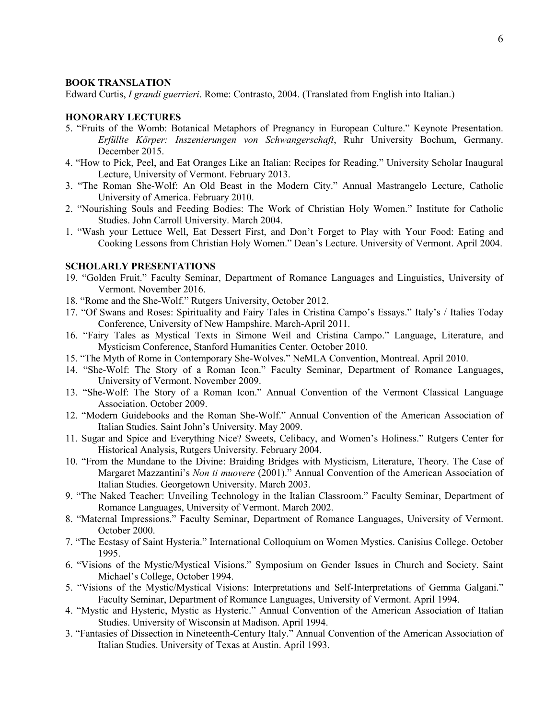## **BOOK TRANSLATION**

Edward Curtis, *I grandi guerrieri*. Rome: Contrasto, 2004. (Translated from English into Italian.)

## **HONORARY LECTURES**

- 5. "Fruits of the Womb: Botanical Metaphors of Pregnancy in European Culture." Keynote Presentation. *Erfüllte Körper: Inszenierungen von Schwangerschaft*, Ruhr University Bochum, Germany. December 2015.
- 4. "How to Pick, Peel, and Eat Oranges Like an Italian: Recipes for Reading." University Scholar Inaugural Lecture, University of Vermont. February 2013.
- 3. "The Roman She-Wolf: An Old Beast in the Modern City." Annual Mastrangelo Lecture, Catholic University of America. February 2010.
- 2. "Nourishing Souls and Feeding Bodies: The Work of Christian Holy Women." Institute for Catholic Studies. John Carroll University. March 2004.
- 1. "Wash your Lettuce Well, Eat Dessert First, and Don't Forget to Play with Your Food: Eating and Cooking Lessons from Christian Holy Women." Dean's Lecture. University of Vermont. April 2004.

#### **SCHOLARLY PRESENTATIONS**

- 19. "Golden Fruit." Faculty Seminar, Department of Romance Languages and Linguistics, University of Vermont. November 2016.
- 18. "Rome and the She-Wolf." Rutgers University, October 2012.
- 17. "Of Swans and Roses: Spirituality and Fairy Tales in Cristina Campo's Essays." Italy's / Italies Today Conference, University of New Hampshire. March-April 2011.
- 16. "Fairy Tales as Mystical Texts in Simone Weil and Cristina Campo." Language, Literature, and Mysticism Conference, Stanford Humanities Center. October 2010.
- 15. "The Myth of Rome in Contemporary She-Wolves." NeMLA Convention, Montreal. April 2010.
- 14. "She-Wolf: The Story of a Roman Icon." Faculty Seminar, Department of Romance Languages, University of Vermont. November 2009.
- 13. "She-Wolf: The Story of a Roman Icon." Annual Convention of the Vermont Classical Language Association. October 2009.
- 12. "Modern Guidebooks and the Roman She-Wolf." Annual Convention of the American Association of Italian Studies. Saint John's University. May 2009.
- 11. Sugar and Spice and Everything Nice? Sweets, Celibacy, and Women's Holiness." Rutgers Center for Historical Analysis, Rutgers University. February 2004.
- 10. "From the Mundane to the Divine: Braiding Bridges with Mysticism, Literature, Theory. The Case of Margaret Mazzantini's *Non ti muovere* (2001)." Annual Convention of the American Association of Italian Studies. Georgetown University. March 2003.
- 9. "The Naked Teacher: Unveiling Technology in the Italian Classroom." Faculty Seminar, Department of Romance Languages, University of Vermont. March 2002.
- 8. "Maternal Impressions." Faculty Seminar, Department of Romance Languages, University of Vermont. October 2000.
- 7. "The Ecstasy of Saint Hysteria." International Colloquium on Women Mystics. Canisius College. October 1995.
- 6. "Visions of the Mystic/Mystical Visions." Symposium on Gender Issues in Church and Society. Saint Michael's College, October 1994.
- 5. "Visions of the Mystic/Mystical Visions: Interpretations and Self-Interpretations of Gemma Galgani." Faculty Seminar, Department of Romance Languages, University of Vermont. April 1994.
- 4. "Mystic and Hysteric, Mystic as Hysteric." Annual Convention of the American Association of Italian Studies. University of Wisconsin at Madison. April 1994.
- 3. "Fantasies of Dissection in Nineteenth-Century Italy." Annual Convention of the American Association of Italian Studies. University of Texas at Austin. April 1993.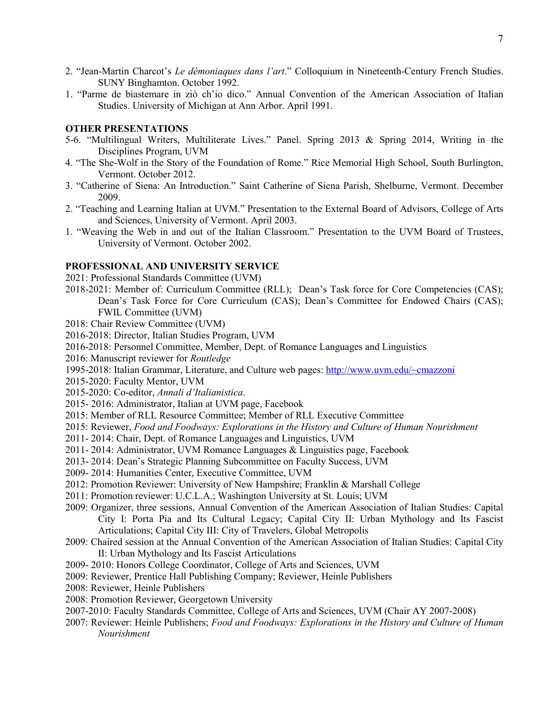- 2. "Jean-Martin Charcot's *Le démoniaques dans l'art*." Colloquium in Nineteenth-Century French Studies. SUNY Binghamton. October 1992.
- 1. "Parme de biastemare in ziò ch'io dico." Annual Convention of the American Association of Italian Studies. University of Michigan at Ann Arbor. April 1991.

## **OTHER PRESENTATIONS**

- 5-6. "Multilingual Writers, Multiliterate Lives." Panel. Spring 2013 & Spring 2014, Writing in the Disciplines Program, UVM
- 4. "The She-Wolf in the Story of the Foundation of Rome." Rice Memorial High School, South Burlington, Vermont. October 2012.
- 3. "Catherine of Siena: An Introduction." Saint Catherine of Siena Parish, Shelburne, Vermont. December 2009.
- 2. "Teaching and Learning Italian at UVM." Presentation to the External Board of Advisors, College of Arts and Sciences, University of Vermont. April 2003.
- 1. "Weaving the Web in and out of the Italian Classroom." Presentation to the UVM Board of Trustees, University of Vermont. October 2002.

### **PROFESSIONAL AND UNIVERSITY SERVICE**

2021: Professional Standards Committee (UVM)

- 2018-2021: Member of: Curriculum Committee (RLL); Dean's Task force for Core Competencies (CAS); Dean's Task Force for Core Curriculum (CAS); Dean's Committee for Endowed Chairs (CAS); FWIL Committee (UVM)
- 2018: Chair Review Committee (UVM)
- 2016-2018: Director, Italian Studies Program, UVM
- 2016-2018: Personnel Committee, Member, Dept. of Romance Languages and Linguistics
- 2016: Manuscript reviewer for *Routledge*
- 1995-2018: Italian Grammar, Literature, and Culture web pages: [http://www.uvm.edu/~cmazzoni](http://www.uvm.edu/%7Ecmazzoni)
- 2015-2020: Faculty Mentor, UVM
- 2015-2020: Co-editor, *Annali d'Italianistica*.
- 2015- 2016: Administrator, Italian at UVM page, Facebook
- 2015: Member of RLL Resource Committee; Member of RLL Executive Committee
- 2015: Reviewer, *Food and Foodways: Explorations in the History and Culture of Human Nourishment*
- 2011- 2014: Chair, Dept. of Romance Languages and Linguistics, UVM
- 2011- 2014: Administrator, UVM Romance Languages & Linguistics page, Facebook
- 2013- 2014: Dean's Strategic Planning Subcommittee on Faculty Success, UVM
- 2009- 2014: Humanities Center, Executive Committee, UVM
- 2012: Promotion Reviewer: University of New Hampshire; Franklin & Marshall College
- 2011: Promotion reviewer: U.C.L.A.; Washington University at St. Louis; UVM
- 2009: Organizer, three sessions, Annual Convention of the American Association of Italian Studies: Capital City I: Porta Pia and Its Cultural Legacy; Capital City II: Urban Mythology and Its Fascist Articulations; Capital City III: City of Travelers, Global Metropolis
- 2009: Chaired session at the Annual Convention of the American Association of Italian Studies: Capital City II: Urban Mythology and Its Fascist Articulations
- 2009- 2010: Honors College Coordinator, College of Arts and Sciences, UVM
- 2009: Reviewer, Prentice Hall Publishing Company; Reviewer, Heinle Publishers
- 2008: Reviewer, Heinle Publishers
- 2008: Promotion Reviewer, Georgetown University
- 2007-2010: Faculty Standards Committee, College of Arts and Sciences, UVM (Chair AY 2007-2008)
- 2007: Reviewer: Heinle Publishers; *Food and Foodways: Explorations in the History and Culture of Human Nourishment*